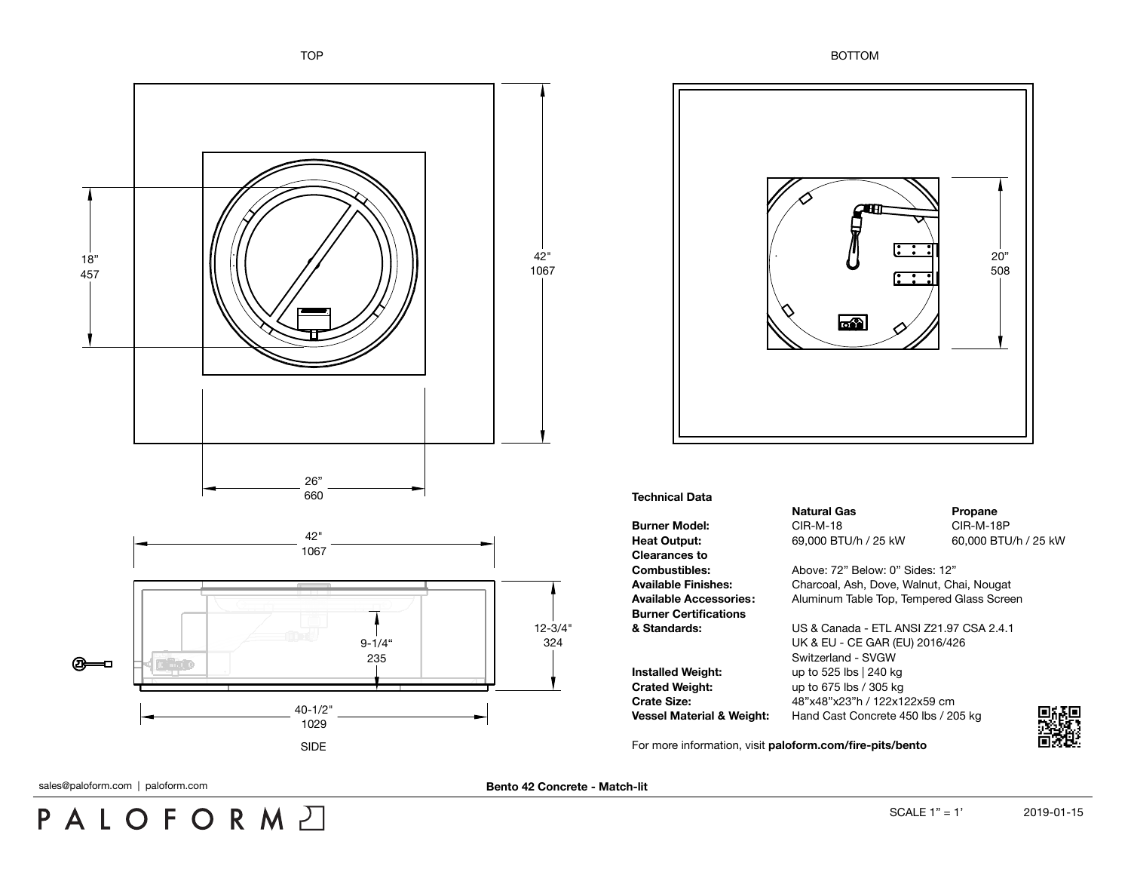

## **Technical Data**

**Burner Model:** CIR-M-18 CIR-M-18 CIR-M-18P **Heat Output:** 69,000 BTU/h / 25 kW 60,000 BTU/h / 25 kW **Clearances to Combustibles:** Above: 72" Below: 0" Sides: 12" **Burner Certifications**

**Installed Weight:** up to 525 lbs | 240 kg **Crated Weight:** up to 675 lbs / 305 kg

**Natural Gas Propane** 

**Available Finishes:** Charcoal, Ash, Dove, Walnut, Chai, Nougat **Available Accessories:** Aluminum Table Top, Tempered Glass Screen

**& Standards:** US & Canada - ETL ANSI Z21.97 CSA 2.4.1 UK & EU - CE GAR (EU) 2016/426 Switzerland - SVGW **Crate Size:** 48"x48"x23"h / 122x122x59 cm **Vessel Material & Weight:** Hand Cast Concrete 450 lbs / 205 kg

For more information, visit **[paloform.com/fire-pits/bento](http://paloform.com/fire-pits/bento)**



sales@paloform.com | paloform.com | **paloform.com | paloform.com | paloform.com Bento 42 Concrete - Match-lit** 

**PALOFORM**